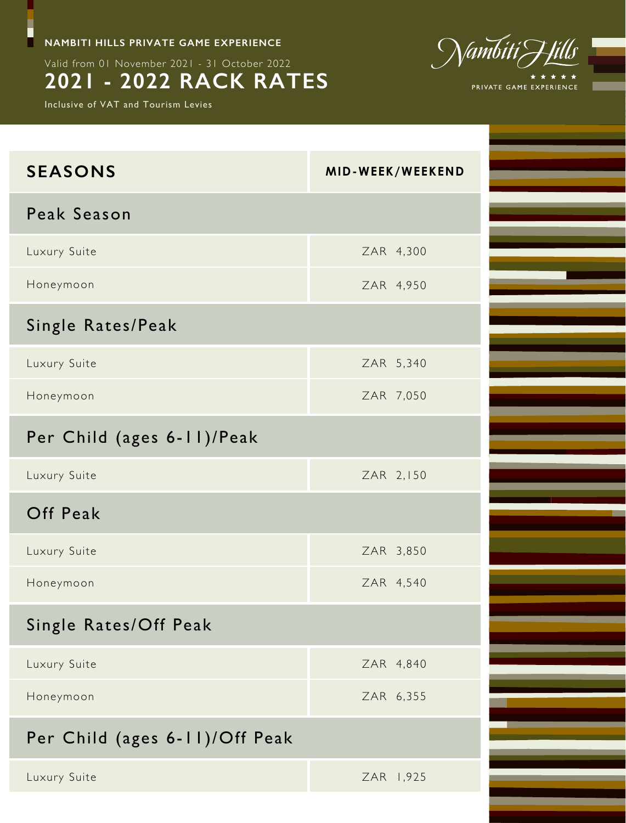**NAMBITI HILLS PRIVATE GAME EXPERIENCE**

Valid from 01 November 2021 - 31 October 2022

# **2021 - 2022 RACK RATES**

Inclusive of VAT and Tourism Levies

F



| <b>SEASONS</b>                 | MID-WEEK/WEEKEND |
|--------------------------------|------------------|
| Peak Season                    |                  |
| Luxury Suite                   | ZAR 4,300        |
| Honeymoon                      | ZAR 4,950        |
| Single Rates/Peak              |                  |
| Luxury Suite                   | ZAR 5,340        |
| Honeymoon                      | ZAR 7,050        |
| Per Child (ages 6-11)/Peak     |                  |
| Luxury Suite                   | ZAR 2,150        |
| Off Peak                       |                  |
| Luxury Suite                   | ZAR 3,850        |
| Honeymoon                      | ZAR 4,540        |
| Single Rates/Off Peak          |                  |
| Luxury Suite                   | ZAR 4,840        |
| Honeymoon                      | ZAR 6,355        |
| Per Child (ages 6-11)/Off Peak |                  |
| Luxury Suite                   | ZAR 1,925        |
|                                |                  |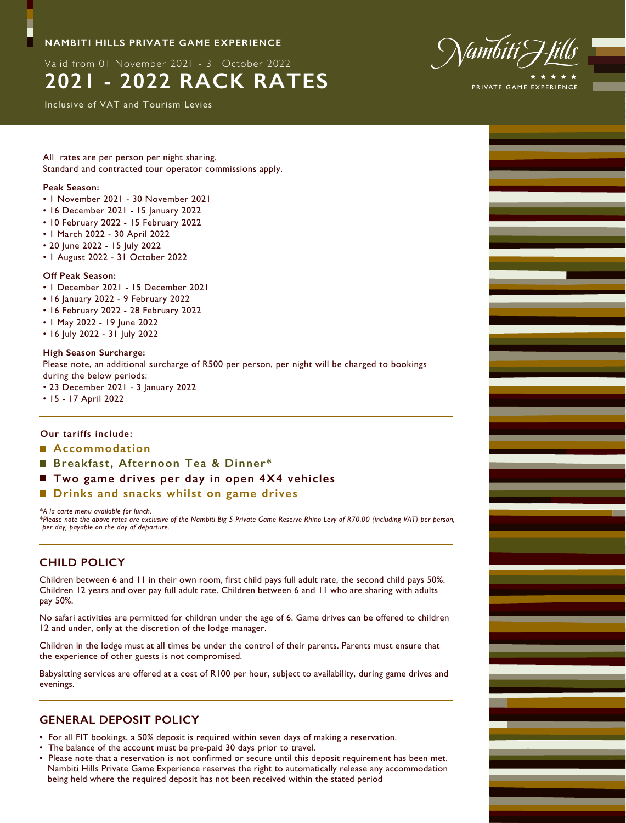## **NAMBITI HILLS PRIVATE GAME EXPERIENCE**

Valid from 01 November 2021 - 31 October 2022

# **2021 - 2022 RACK RATES**

Inclusive of VAT and Tourism Levies



All rates are per person per night sharing. Standard and contracted tour operator commissions apply.

#### **Peak Season:**

- 1 November 2021 30 November 2021
- 16 December 2021 15 January 2022
- 10 February 2022 15 February 2022
- 1 March 2022 30 April 2022
- 20 June 2022 15 July 2022
- 1 August 2022 31 October 2022

#### **Off Peak Season:**

- 1 December 2021 15 December 2021
- 16 January 2022 9 February 2022
- 16 February 2022 28 February 2022
- 1 May 2022 19 June 2022
- 16 July 2022 31 July 2022

#### **High Season Surcharge:**

Please note, an additional surcharge of R500 per person, per night will be charged to bookings during the below periods:

- 23 December 2021 3 January 2022
- 15 17 April 2022

#### **Our tariffs include:**

- **Accommodation**
- **Breakfast, Afternoon Tea & Dinner\***
- Two game drives per day in open 4X4 vehicles
- **Drinks and snacks whilst on game drives**

#### *\*A la carte menu available for lunch.*

*\*Please note the above rates are exclusive of the Nambiti Big 5 Private Game Reserve Rhino Levy of R70.00 (including VAT) per person, per day, payable on the day of departure.*

## **CHILD POLICY**

Children between 6 and 11 in their own room, first child pays full adult rate, the second child pays 50%. Children 12 years and over pay full adult rate. Children between 6 and 11 who are sharing with adults pay 50%.

No safari activities are permitted for children under the age of 6. Game drives can be offered to children 12 and under, only at the discretion of the lodge manager.

Children in the lodge must at all times be under the control of their parents. Parents must ensure that the experience of other guests is not compromised.

Babysitting services are offered at a cost of R100 per hour, subject to availability, during game drives and evenings.

## **GENERAL DEPOSIT POLICY**

- For all FIT bookings, a 50% deposit is required within seven days of making a reservation.
- The balance of the account must be pre-paid 30 days prior to travel.
- Please note that a reservation is not confirmed or secure until this deposit requirement has been met. Nambiti Hills Private Game Experience reserves the right to automatically release any accommodation being held where the required deposit has not been received within the stated period